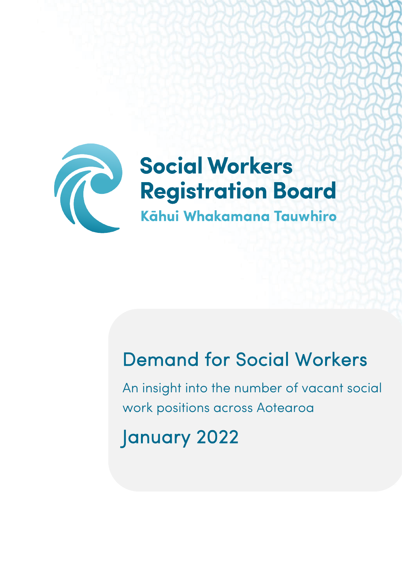

# **Social Workers Registration Board** Kāhui Whakamana Tauwhiro

# Demand for Social Workers

An insight into the number of vacant social work positions across Aotearoa

January 2022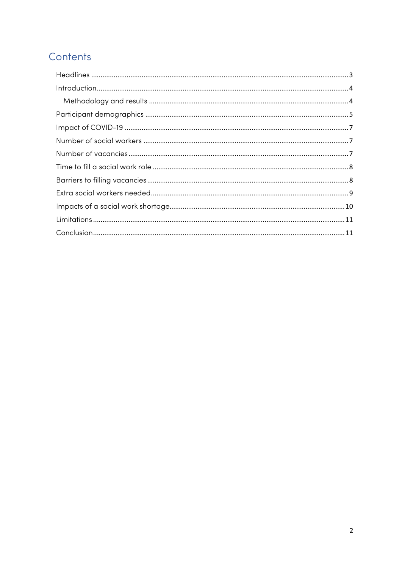# Contents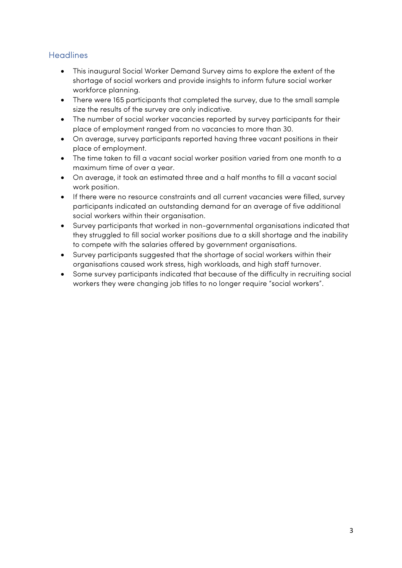## <span id="page-2-0"></span>**Headlines**

- This inaugural Social Worker Demand Survey aims to explore the extent of the shortage of social workers and provide insights to inform future social worker workforce planning.
- There were 165 participants that completed the survey, due to the small sample size the results of the survey are only indicative.
- The number of social worker vacancies reported by survey participants for their place of employment ranged from no vacancies to more than 30.
- On average, survey participants reported having three vacant positions in their place of employment.
- The time taken to fill a vacant social worker position varied from one month to a maximum time of over a year.
- On average, it took an estimated three and a half months to fill a vacant social work position.
- If there were no resource constraints and all current vacancies were filled, survey participants indicated an outstanding demand for an average of five additional social workers within their organisation.
- Survey participants that worked in non-governmental organisations indicated that they struggled to fill social worker positions due to a skill shortage and the inability to compete with the salaries offered by government organisations.
- Survey participants suggested that the shortage of social workers within their organisations caused work stress, high workloads, and high staff turnover.
- Some survey participants indicated that because of the difficulty in recruiting social workers they were changing job titles to no longer require "social workers".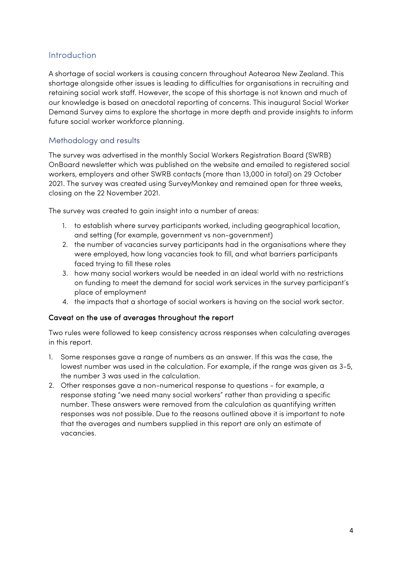### <span id="page-3-0"></span>Introduction

A shortage of social workers is causing concern throughout Aotearoa New Zealand. This shortage alongside other issues is leading to difficulties for organisations in recruiting and retaining social work staff. However, the scope of this shortage is not known and much of our knowledge is based on anecdotal reporting of concerns. This inaugural Social Worker Demand Survey aims to explore the shortage in more depth and provide insights to inform future social worker workforce planning.

#### <span id="page-3-1"></span>Methodology and results

The survey was advertised in the monthly Social Workers Registration Board (SWRB) OnBoard newsletter which was published on the website and emailed to registered social workers, employers and other SWRB contacts (more than 13,000 in total) on 29 October 2021. The survey was created using SurveyMonkey and remained open for three weeks, closing on the 22 November 2021.

The survey was created to gain insight into a number of areas:

- 1. to establish where survey participants worked, including geographical location, and setting (for example, government vs non-government)
- 2. the number of vacancies survey participants had in the organisations where they were employed, how long vacancies took to fill, and what barriers participants faced trying to fill these roles
- 3. how many social workers would be needed in an ideal world with no restrictions on funding to meet the demand for social work services in the survey participant's place of employment
- 4. the impacts that a shortage of social workers is having on the social work sector.

#### Caveat on the use of averages throughout the report

Two rules were followed to keep consistency across responses when calculating averages in this report.

- 1. Some responses gave a range of numbers as an answer. If this was the case, the lowest number was used in the calculation. For example, if the range was given as 3-5, the number 3 was used in the calculation.
- 2. Other responses gave a non-numerical response to questions for example, a response stating "we need many social workers" rather than providing a specific number. These answers were removed from the calculation as quantifying written responses was not possible. Due to the reasons outlined above it is important to note that the averages and numbers supplied in this report are only an estimate of vacancies.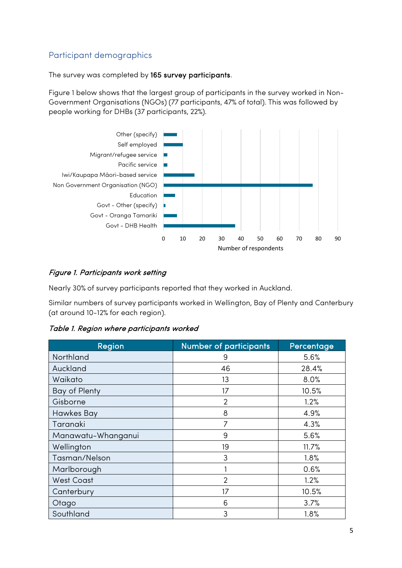# <span id="page-4-0"></span>Participant demographics

The survey was completed by 165 survey participants.

Figure 1 below shows that the largest group of participants in the survey worked in Non-Government Organisations (NGOs) (77 participants, 47% of total). This was followed by people working for DHBs (37 participants, 22%).



#### Figure 1. Participants work setting

Nearly 30% of survey participants reported that they worked in Auckland.

Similar numbers of survey participants worked in Wellington, Bay of Plenty and Canterbury (at around 10-12% for each region).

Table 1. Region where participants worked

| Region             | <b>Number of participants</b> | Percentage |
|--------------------|-------------------------------|------------|
| Northland          | 9                             | 5.6%       |
| Auckland           | 46                            | 28.4%      |
| Waikato            | 13                            | 8.0%       |
| Bay of Plenty      | 17                            | 10.5%      |
| Gisborne           | $\overline{2}$                | 1.2%       |
| <b>Hawkes Bay</b>  | 8                             | 4.9%       |
| Taranaki           | 7                             | 4.3%       |
| Manawatu-Whanganui | 9                             | 5.6%       |
| Wellington         | 19                            | 11.7%      |
| Tasman/Nelson      | 3                             | 1.8%       |
| Marlborough        |                               | 0.6%       |
| <b>West Coast</b>  | $\mathfrak{D}$                | 1.2%       |
| Canterbury         | 17                            | 10.5%      |
| Otago              | 6                             | 3.7%       |
| Southland          | 3                             | 1.8%       |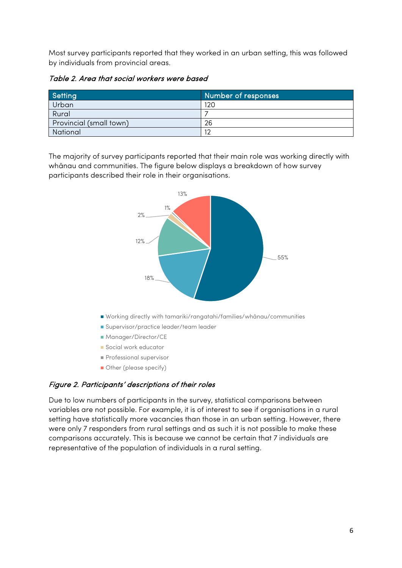Most survey participants reported that they worked in an urban setting, this was followed by individuals from provincial areas.

Table 2. Area that social workers were based

| Setting                 | Number of responses |
|-------------------------|---------------------|
| Urban                   | 120                 |
| Rural                   |                     |
| Provincial (small town) | 26                  |
| National                | $1^{\circ}$         |

The majority of survey participants reported that their main role was working directly with whānau and communities. The figure below displays a breakdown of how survey participants described their role in their organisations.



#### Figure 2. Participants' descriptions of their roles

Due to low numbers of participants in the survey, statistical comparisons between variables are not possible. For example, it is of interest to see if organisations in a rural setting have statistically more vacancies than those in an urban setting. However, there were only 7 responders from rural settings and as such it is not possible to make these comparisons accurately. This is because we cannot be certain that 7 individuals are representative of the population of individuals in a rural setting.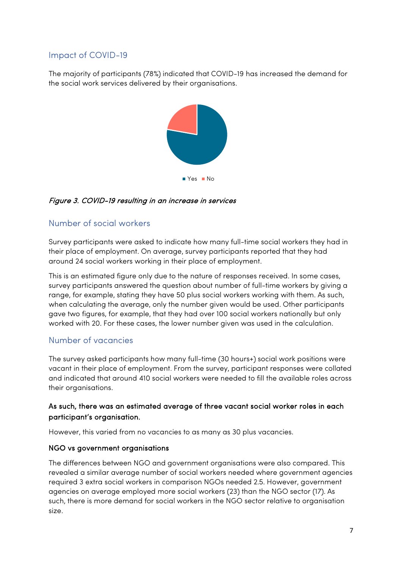# <span id="page-6-0"></span>Impact of COVID-19

The majority of participants (78%) indicated that COVID-19 has increased the demand for the social work services delivered by their organisations.



### Figure 3. COVID-19 resulting in an increase in services

# <span id="page-6-1"></span>Number of social workers

Survey participants were asked to indicate how many full-time social workers they had in their place of employment. On average, survey participants reported that they had around 24 social workers working in their place of employment.

This is an estimated figure only due to the nature of responses received. In some cases, survey participants answered the question about number of full-time workers by giving a range, for example, stating they have 50 plus social workers working with them. As such, when calculating the average, only the number given would be used. Other participants gave two figures, for example, that they had over 100 social workers nationally but only worked with 20. For these cases, the lower number given was used in the calculation.

# <span id="page-6-2"></span>Number of vacancies

The survey asked participants how many full-time (30 hours+) social work positions were vacant in their place of employment. From the survey, participant responses were collated and indicated that around 410 social workers were needed to fill the available roles across their organisations.

#### As such, there was an estimated average of three vacant social worker roles in each participant's organisation.

However, this varied from no vacancies to as many as 30 plus vacancies.

#### NGO vs government organisations

The differences between NGO and government organisations were also compared. This revealed a similar average number of social workers needed where government agencies required 3 extra social workers in comparison NGOs needed 2.5. However, government agencies on average employed more social workers (23) than the NGO sector (17). As such, there is more demand for social workers in the NGO sector relative to organisation size.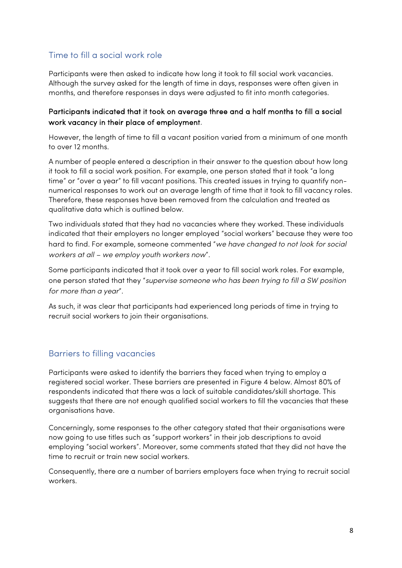# <span id="page-7-0"></span>Time to fill a social work role

Participants were then asked to indicate how long it took to fill social work vacancies. Although the survey asked for the length of time in days, responses were often given in months, and therefore responses in days were adjusted to fit into month categories.

#### Participants indicated that it took on average three and a half months to fill a social work vacancy in their place of employment.

However, the length of time to fill a vacant position varied from a minimum of one month to over 12 months.

A number of people entered a description in their answer to the question about how long it took to fill a social work position. For example, one person stated that it took "a long time" or "over a year" to fill vacant positions. This created issues in trying to quantify nonnumerical responses to work out an average length of time that it took to fill vacancy roles. Therefore, these responses have been removed from the calculation and treated as qualitative data which is outlined below.

Two individuals stated that they had no vacancies where they worked. These individuals indicated that their employers no longer employed "social workers" because they were too hard to find. For example, someone commented "*we have changed to not look for social workers at all – we employ youth workers now*".

Some participants indicated that it took over a year to fill social work roles. For example, one person stated that they "*supervise someone who has been trying to fill a SW position for more than a year*".

As such, it was clear that participants had experienced long periods of time in trying to recruit social workers to join their organisations.

### <span id="page-7-1"></span>Barriers to filling vacancies

Participants were asked to identify the barriers they faced when trying to employ a registered social worker. These barriers are presented in Figure 4 below. Almost 80% of respondents indicated that there was a lack of suitable candidates/skill shortage. This suggests that there are not enough qualified social workers to fill the vacancies that these organisations have.

Concerningly, some responses to the other category stated that their organisations were now going to use titles such as "support workers" in their job descriptions to avoid employing "social workers". Moreover, some comments stated that they did not have the time to recruit or train new social workers.

Consequently, there are a number of barriers employers face when trying to recruit social workers.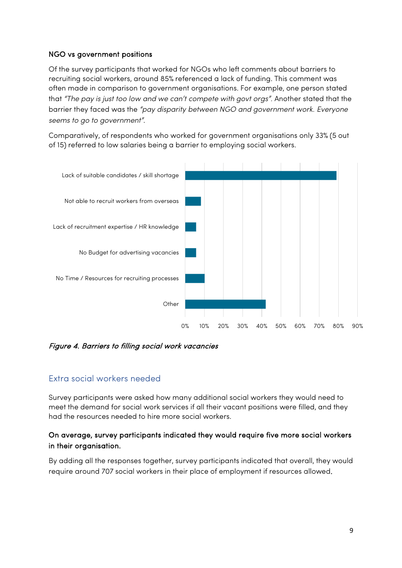#### NGO vs government positions

Of the survey participants that worked for NGOs who left comments about barriers to recruiting social workers, around 85% referenced a lack of funding. This comment was often made in comparison to government organisations. For example, one person stated that *"The pay is just too low and we can't compete with govt orgs".* Another stated that the barrier they faced was the *"pay disparity between NGO and government work. Everyone seems to go to government"*.

Comparatively, of respondents who worked for government organisations only 33% (5 out of 15) referred to low salaries being a barrier to employing social workers.



Figure 4. Barriers to filling social work vacancies

### <span id="page-8-0"></span>Extra social workers needed

Survey participants were asked how many additional social workers they would need to meet the demand for social work services if all their vacant positions were filled, and they had the resources needed to hire more social workers.

#### On average, survey participants indicated they would require five more social workers in their organisation.

By adding all the responses together, survey participants indicated that overall, they would require around 707 social workers in their place of employment if resources allowed.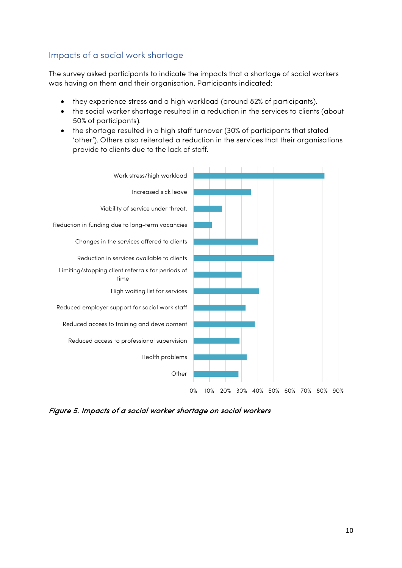# <span id="page-9-0"></span>Impacts of a social work shortage

The survey asked participants to indicate the impacts that a shortage of social workers was having on them and their organisation. Participants indicated:

- they experience stress and a high workload (around 82% of participants).
- the social worker shortage resulted in a reduction in the services to clients (about 50% of participants).
- the shortage resulted in a high staff turnover (30% of participants that stated 'other'). Others also reiterated a reduction in the services that their organisations provide to clients due to the lack of staff.



Figure 5. Impacts of a social worker shortage on social workers